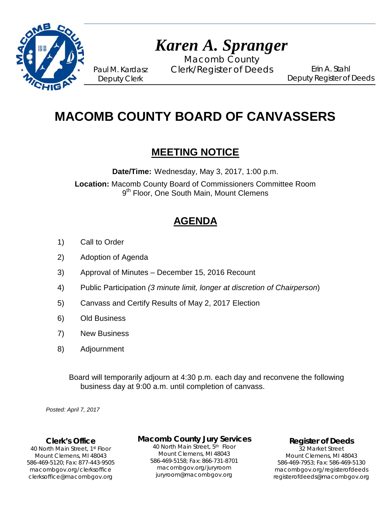

# *Karen A. Spranger*

Macomb County Paul M. Kardasz Clerk/Register of Deeds

Erin A. Stahl Deputy Register of Deeds

## **MACOMB COUNTY BOARD OF CANVASSERS**

### **MEETING NOTICE**

**Date/Time:** Wednesday, May 3, 2017, 1:00 p.m.

**Location:** Macomb County Board of Commissioners Committee Room 9<sup>th</sup> Floor, One South Main, Mount Clemens

## **AGENDA**

- 1) Call to Order
- 2) Adoption of Agenda

Deputy Clerk

- 3) Approval of Minutes December 15, 2016 Recount
- 4) Public Participation *(3 minute limit, longer at discretion of Chairperson*)
- 5) Canvass and Certify Results of May 2, 2017 Election
- 6) Old Business
- 7) New Business
- 8) Adjournment

Board will temporarily adjourn at 4:30 p.m. each day and reconvene the following business day at 9:00 a.m. until completion of canvass.

*Posted: April 7, 2017*

#### **Clerk's Office**

clerksoffice@macombgov.org 40 North Main Street, 1st Floor Mount Clemens, MI 48043 586-469-5120; Fax: 877-443-9505 macombgov.org/clerksoffice

#### **Macomb County Jury Services**

40 North Main Street, 5th Floor Mount Clemens, MI 48043 586-469-5158; Fax: 866-731-8701 macombgov.org/juryroom juryroom@macombgov.org

**Register of Deeds**

32 Market Street Mount Clemens, MI 48043 586-469-7953; Fax: 586-469-5130 macombgov.org/registerofdeeds registerofdeeds@macombgov.org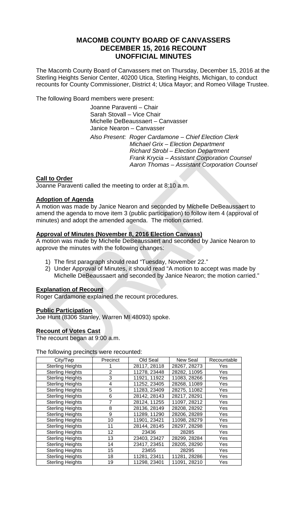#### **MACOMB COUNTY BOARD OF CANVASSERS DECEMBER 15, 2016 RECOUNT UNOFFICIAL MINUTES**

The Macomb County Board of Canvassers met on Thursday, December 15, 2016 at the Sterling Heights Senior Center, 40200 Utica, Sterling Heights, Michigan, to conduct recounts for County Commissioner, District 4; Utica Mayor; and Romeo Village Trustee.

The following Board members were present:

Joanne Paraventi – Chair Sarah Stovall – Vice Chair Michelle DeBeaussaert – Canvasser Janice Nearon – Canvasser

*Also Present: Roger Cardamone – Chief Election Clerk Michael Grix – Election Department Richard Strobl – Election Department Frank Krycia – Assistant Corporation Counsel Aaron Thomas – Assistant Corporation Counsel*

#### **Call to Order**

Joanne Paraventi called the meeting to order at 8:10 a.m.

#### **Adoption of Agenda**

A motion was made by Janice Nearon and seconded by Michelle DeBeaussaert to amend the agenda to move item 3 (public participation) to follow item 4 (approval of minutes) and adopt the amended agenda. The motion carried.

#### **Approval of Minutes (November 8, 2016 Election Canvass)**

A motion was made by Michelle DeBeaussaert and seconded by Janice Nearon to approve the minutes with the following changes:

- 1) The first paragraph should read "Tuesday, November 22."
- 2) Under Approval of Minutes, it should read "A motion to accept was made by Michelle DeBeaussaert and seconded by Janice Nearon; the motion carried."

#### **Explanation of Recount**

Roger Cardamone explained the recount procedures.

#### **Public Participation**

Joe Hunt (8306 Stanley, Warren MI 48093) spoke.

#### **Recount of Votes Cast**

The recount began at 9:00 a.m.

The following precincts were recounted:

| City/Twp                | Precinct | Old Seal     | New Seal     | Recountable |
|-------------------------|----------|--------------|--------------|-------------|
| <b>Sterling Heights</b> |          | 28117, 28118 | 28267, 28273 | Yes         |
| <b>Sterling Heights</b> | 2        | 11278, 23448 | 28282, 11095 | Yes         |
| <b>Sterling Heights</b> | 3        | 11921, 11922 | 11083, 28266 | Yes         |
| <b>Sterling Heights</b> | 4        | 11252, 23405 | 28268, 11089 | Yes         |
| <b>Sterling Heights</b> | 5        | 11283, 23409 | 28275, 11082 | Yes         |
| <b>Sterling Heights</b> | 6        | 28142, 28143 | 28217, 28291 | Yes         |
| <b>Sterling Heights</b> |          | 28124, 11255 | 11097, 28212 | Yes         |
| <b>Sterling Heights</b> | 8        | 28136, 28149 | 28208, 28292 | Yes         |
| <b>Sterling Heights</b> | 9        | 11289, 11290 | 28206, 28289 | Yes         |
| <b>Sterling Heights</b> | 10       | 11901, 23421 | 11098, 28279 | Yes         |
| <b>Sterling Heights</b> | 11       | 28144, 28145 | 28297, 28298 | Yes         |
| <b>Sterling Heights</b> | 12       | 23436        | 28285        | Yes         |
| <b>Sterling Heights</b> | 13       | 23403, 23427 | 28299, 28284 | Yes         |
| <b>Sterling Heights</b> | 14       | 23417, 23451 | 28205, 28290 | Yes         |
| <b>Sterling Heights</b> | 15       | 23455        | 28295        | Yes         |
| <b>Sterling Heights</b> | 18       | 11281, 23411 | 11281, 28286 | Yes         |
| <b>Sterling Heights</b> | 19       | 11298, 23401 | 11091, 28210 | Yes         |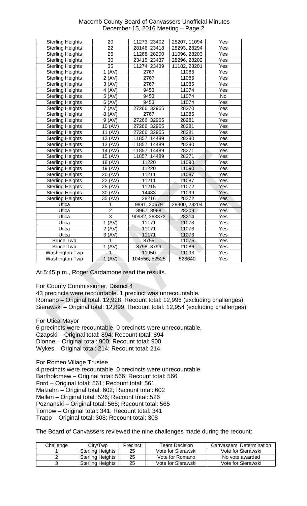| <b>Macomb County Board of Canvassers Unofficial Minutes</b> |
|-------------------------------------------------------------|
| December 15, 2016 Meeting – Page 2                          |

| <b>Sterling Heights</b> | 20             | 11273, 23402  | 28207, 11094 | Yes        |
|-------------------------|----------------|---------------|--------------|------------|
| <b>Sterling Heights</b> | 22             | 28146, 23418  | 28293, 28294 | Yes        |
| <b>Sterling Heights</b> | 25             | 11268, 28200  | 11096, 28203 | Yes        |
| <b>Sterling Heights</b> | 30             | 23415, 23437  | 28296, 28202 | Yes        |
| <b>Sterling Heights</b> | 35             | 11274, 23439  | 11182, 28201 | Yes        |
| <b>Sterling Heights</b> | 1 (AV)         | 2767          | 11085        | Yes        |
| <b>Sterling Heights</b> | 2 (AV)         | 2767          | 11085        | Yes        |
| <b>Sterling Heights</b> | 3 (AV)         | 2767          | 11085        | Yes        |
| <b>Sterling Heights</b> | 4 (AV)         | 9453          | 11074        | Yes        |
| <b>Sterling Heights</b> | 5 (AV)         | 9453          | 11074        | No         |
| <b>Sterling Heights</b> | 6 (AV)         | 9453          | 11074        | Yes        |
| <b>Sterling Heights</b> | 7 (AV)         | 27266, 32965  | 28270        | Yes        |
| <b>Sterling Heights</b> | 8 (AV)         | 2767          | 11085        | Yes        |
| <b>Sterling Heights</b> | 9 (AV)         | 27266, 32965  | 28281        | Yes        |
| <b>Sterling Heights</b> | 10 (AV)        | 27266, 32965  | 28281        | Yes        |
| <b>Sterling Heights</b> | 11 (AV)        | 27266, 32965  | 28281        | Yes        |
| <b>Sterling Heights</b> | 12 (AV)        | 11857, 14489  | 28280        | Yes        |
| <b>Sterling Heights</b> | 13 (AV)        | 11857, 14489  | 28280        | Yes        |
| <b>Sterling Heights</b> | 14 (AV)        | 11857, 14489  | 28271        | Yes        |
| <b>Sterling Heights</b> | 15 (AV)        | 11857, 14489  | 28271        | Yes        |
| <b>Sterling Heights</b> | 18 (AV)        | 11220         | 11090        | Yes        |
| <b>Sterling Heights</b> | 19 (AV)        | 11220         | 11090        | Yes        |
| <b>Sterling Heights</b> | 20 (AV)        | 11211         | 11087        | Yes        |
| <b>Sterling Heights</b> | 22 (AV)        | 11211         | 11087        | Yes        |
| <b>Sterling Heights</b> | 25 (AV)        | 11215         | 11072        | Yes        |
| <b>Sterling Heights</b> | 30 (AV)        | 14483         | 11099        | <b>Yes</b> |
| <b>Sterling Heights</b> | 35 (AV)        | 28216         | 28272        | Yes        |
| Utica                   | 1              | 9891, 20679   | 28300, 28204 | Yes        |
| Utica                   | $\overline{c}$ | 8967, 8968    | 28209        | Yes        |
| <b>Utica</b>            | $\overline{3}$ | 90982, 363372 | 28214        | Yes        |
| Utica                   | 1 (AV)         | 11171         | 11073        | Yes        |
| Utica                   | 2 (AV)         | 11171         | 11073        | Yes        |
| Utica                   | 3 (AV)         | 11171         | 11073        | Yes        |
| <b>Bruce Twp</b>        | 1              | 8755          | 11075        | Yes        |
| <b>Bruce Twp</b>        | 1 (AV)         | 8798, 8799    | 11086        | Yes        |
| Washington Twp          | 1              | 11950         | 11093        | Yes        |
| Washington Twp          | 1 (AV)         | 104556, 52525 | 523640       | Yes        |
|                         |                |               |              |            |

At 5:45 p.m., Roger Cardamone read the results.

For County Commissioner, District 4

43 precincts were recountable. 1 precinct was unrecountable. Romano – Original total: 12,928; Recount total: 12,996 (excluding challenges) Sierawski – Original total: 12,899; Recount total: 12,954 (excluding challenges)

For Utica Mayor

6 precincts were recountable. 0 precincts were unrecountable. Czapski – Original total: 894; Recount total: 894 Dionne – Original total: 900; Recount total: 900 Wykes – Original total: 214; Recount total: 214

For Romeo Village Trustee

4 precincts were recountable. 0 precincts were unrecountable. Bartholomew – Original total: 566; Recount total: 566 Ford – Original total: 561; Recount total: 561 Malzahn – Original total: 602; Recount total: 602 Mellen – Original total: 526; Recount total: 526 Poznanski – Original total: 565; Recount total: 565 Tornow – Original total: 341; Recount total: 341 Trapp – Original total: 308; Recount total: 308

The Board of Canvassers reviewed the nine challenges made during the recount:

| Challenge | Citv/Twp                | Precinct | Team Decision      | Canvassers' Determination |
|-----------|-------------------------|----------|--------------------|---------------------------|
|           | Sterling Heights        | 25       | Vote for Sierawski | Vote for Sierawski        |
|           | <b>Sterling Heights</b> | 25       | Vote for Romano    | No vote awarded           |
|           | <b>Sterling Heights</b> | 25       | Vote for Sierawski | Vote for Sierawski        |